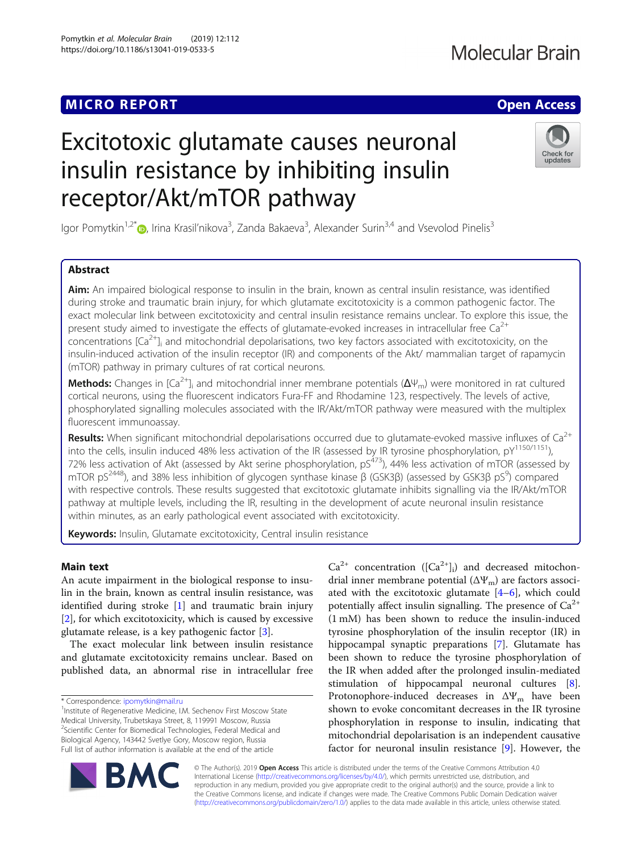## MICRO REPORT AND INTERNATIONAL CONTRACT OF THE SECOND ACCESS OPEN ACCESS

# Excitotoxic glutamate causes neuronal insulin resistance by inhibiting insulin receptor/Akt/mTOR pathway

lgor Pomytkin<sup>1,2[\\*](http://orcid.org/0000-0002-8426-3371)</sup>®, Irina Krasil'nikova<sup>3</sup>, Zanda Bakaeva<sup>3</sup>, Alexander Surin<sup>3,4</sup> and Vsevolod Pinelis<sup>3</sup>

### Abstract

Aim: An impaired biological response to insulin in the brain, known as central insulin resistance, was identified during stroke and traumatic brain injury, for which glutamate excitotoxicity is a common pathogenic factor. The exact molecular link between excitotoxicity and central insulin resistance remains unclear. To explore this issue, the present study aimed to investigate the effects of glutamate-evoked increases in intracellular free  $Ca^{2+}$ concentrations  $[Ca^{2+}]}$  and mitochondrial depolarisations, two key factors associated with excitotoxicity, on the insulin-induced activation of the insulin receptor (IR) and components of the Akt/ mammalian target of rapamycin (mTOR) pathway in primary cultures of rat cortical neurons.

**Methods:** Changes in [Ca<sup>2+</sup>]<sub>i</sub> and mitochondrial inner membrane potentials ( $\Delta\Psi_m$ ) were monitored in rat cultured cortical neurons, using the fluorescent indicators Fura-FF and Rhodamine 123, respectively. The levels of active, phosphorylated signalling molecules associated with the IR/Akt/mTOR pathway were measured with the multiplex fluorescent immunoassay.

Results: When significant mitochondrial depolarisations occurred due to glutamate-evoked massive influxes of  $Ca^{2+}$ into the cells, insulin induced 48% less activation of the IR (assessed by IR tyrosine phosphorylation,  $pY^{1150/1151}$ ), 72% less activation of Akt (assessed by Akt serine phosphorylation,  $pS<sup>473</sup>$ ), 44% less activation of mTOR (assessed by mTOR pS<sup>2448</sup>), and 38% less inhibition of glycogen synthase kinase β (GSK3β) (assessed by GSK3β pS<sup>9</sup>) compared with respective controls. These results suggested that excitotoxic glutamate inhibits signalling via the IR/Akt/mTOR pathway at multiple levels, including the IR, resulting in the development of acute neuronal insulin resistance within minutes, as an early pathological event associated with excitotoxicity.

Keywords: Insulin, Glutamate excitotoxicity, Central insulin resistance

#### Main text

An acute impairment in the biological response to insulin in the brain, known as central insulin resistance, was identified during stroke [\[1](#page-3-0)] and traumatic brain injury [[2\]](#page-3-0), for which excitotoxicity, which is caused by excessive glutamate release, is a key pathogenic factor [\[3](#page-3-0)].

The exact molecular link between insulin resistance and glutamate excitotoxicity remains unclear. Based on published data, an abnormal rise in intracellular free

\* Correspondence: [ipomytkin@mail.ru](mailto:ipomytkin@mail.ru) <sup>1</sup>

<sup>1</sup> Institute of Regenerative Medicine, I.M. Sechenov First Moscow State Medical University, Trubetskaya Street, 8, 119991 Moscow, Russia <sup>2</sup>Scientific Center for Biomedical Technologies, Federal Medical and Biological Agency, 143442 Svetlye Gory, Moscow region, Russia Full list of author information is available at the end of the article

 $Ca^{2+}$  concentration ([ $Ca^{2+}$ ]<sub>i</sub>) and decreased mitochondrial inner membrane potential  $(\Delta \Psi_{\rm m})$  are factors associated with the excitotoxic glutamate  $[4-6]$  $[4-6]$  $[4-6]$  $[4-6]$ , which could potentially affect insulin signalling. The presence of  $Ca^{2+}$ (1 mM) has been shown to reduce the insulin-induced tyrosine phosphorylation of the insulin receptor (IR) in hippocampal synaptic preparations [\[7](#page-3-0)]. Glutamate has been shown to reduce the tyrosine phosphorylation of the IR when added after the prolonged insulin-mediated stimulation of hippocampal neuronal cultures [\[8](#page-3-0)]. Protonophore-induced decreases in  $\Delta\Psi_m$  have been shown to evoke concomitant decreases in the IR tyrosine phosphorylation in response to insulin, indicating that mitochondrial depolarisation is an independent causative factor for neuronal insulin resistance [\[9](#page-3-0)]. However, the

© The Author(s). 2019 **Open Access** This article is distributed under the terms of the Creative Commons Attribution 4.0 International License [\(http://creativecommons.org/licenses/by/4.0/](http://creativecommons.org/licenses/by/4.0/)), which permits unrestricted use, distribution, and reproduction in any medium, provided you give appropriate credit to the original author(s) and the source, provide a link to the Creative Commons license, and indicate if changes were made. The Creative Commons Public Domain Dedication waiver [\(http://creativecommons.org/publicdomain/zero/1.0/](http://creativecommons.org/publicdomain/zero/1.0/)) applies to the data made available in this article, unless otherwise stated.



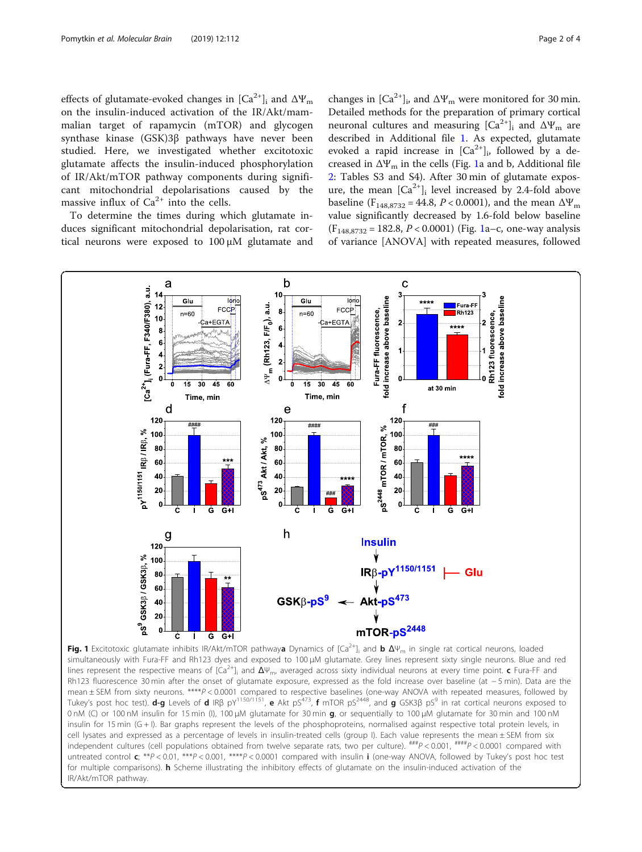<span id="page-1-0"></span>effects of glutamate-evoked changes in  $[Ca^{2+}]$ <sub>i</sub> and  $\Delta \Psi_m$ on the insulin-induced activation of the IR/Akt/mammalian target of rapamycin (mTOR) and glycogen synthase kinase (GSK)3β pathways have never been studied. Here, we investigated whether excitotoxic glutamate affects the insulin-induced phosphorylation of IR/Akt/mTOR pathway components during significant mitochondrial depolarisations caused by the massive influx of  $Ca^{2+}$  into the cells.

To determine the times during which glutamate induces significant mitochondrial depolarisation, rat cortical neurons were exposed to 100 μM glutamate and changes in  $\lbrack Ca^{2+}\rbrack_i$ , and  $\Delta \Psi_m$  were monitored for 30 min. Detailed methods for the preparation of primary cortical neuronal cultures and measuring  $[Ca<sup>2+</sup>]$ <sub>i</sub> and ΔΨ<sub>m</sub> are described in Additional file [1](#page-2-0). As expected, glutamate evoked a rapid increase in  $[Ca^{2+}]_i$ , followed by a decreased in  $\Delta \Psi_m$  in the cells (Fig. 1a and b, Additional file [2:](#page-2-0) Tables S3 and S4). After 30 min of glutamate exposure, the mean  $\lbrack Ca^{2+}\rbrack$  level increased by 2.4-fold above baseline ( $F_{148,8732} = 44.8$ ,  $P < 0.0001$ ), and the mean  $\Delta \Psi_{\text{m}}$ value significantly decreased by 1.6-fold below baseline  $(F<sub>148.8732</sub> = 182.8, P < 0.0001)$  (Fig. 1a-c, one-way analysis of variance [ANOVA] with repeated measures, followed



Fig. 1 Excitotoxic glutamate inhibits IR/Akt/mTOR pathwaya Dynamics of  $[Ca^{2+}]_i$  and b  $\Delta\Psi_m$  in single rat cortical neurons, loaded simultaneously with Fura-FF and Rh123 dyes and exposed to 100 μM glutamate. Grey lines represent sixty single neurons. Blue and red lines represent the respective means of  $[Ca^{2+}]$  and  $\Delta\Psi_m$ , averaged across sixty individual neurons at every time point. c Fura-FF and Rh123 fluorescence 30 min after the onset of glutamate exposure, expressed as the fold increase over baseline (at − 5 min). Data are the mean ± SEM from sixty neurons. \*\*\*\*P < 0.0001 compared to respective baselines (one-way ANOVA with repeated measures, followed by Tukey's post hoc test). d-g Levels of d IRβ pY<sup>1150/1151</sup>, e Akt pS<sup>473</sup>, f mTOR pS<sup>2448</sup>, and g GSK3β pS<sup>9</sup> in rat cortical neurons exposed to 0 nM (C) or 100 nM insulin for 15 min (I), 100 μM glutamate for 30 min g, or sequentially to 100 μM glutamate for 30 min and 100 nM insulin for 15 min (G + I). Bar graphs represent the levels of the phosphoproteins, normalised against respective total protein levels, in cell lysates and expressed as a percentage of levels in insulin-treated cells (group I). Each value represents the mean ± SEM from six independent cultures (cell populations obtained from twelve separate rats, two per culture).  $^{##P}$  < 0.001,  $^{###P}$  < 0.0001 compared with untreated control c; \*\*P < 0.01, \*\*\*P < 0.001, \*\*\*\*P < 0.0001 compared with insulin i (one-way ANOVA, followed by Tukey's post hoc test for multiple comparisons). h Scheme illustrating the inhibitory effects of glutamate on the insulin-induced activation of the IR/Akt/mTOR pathway.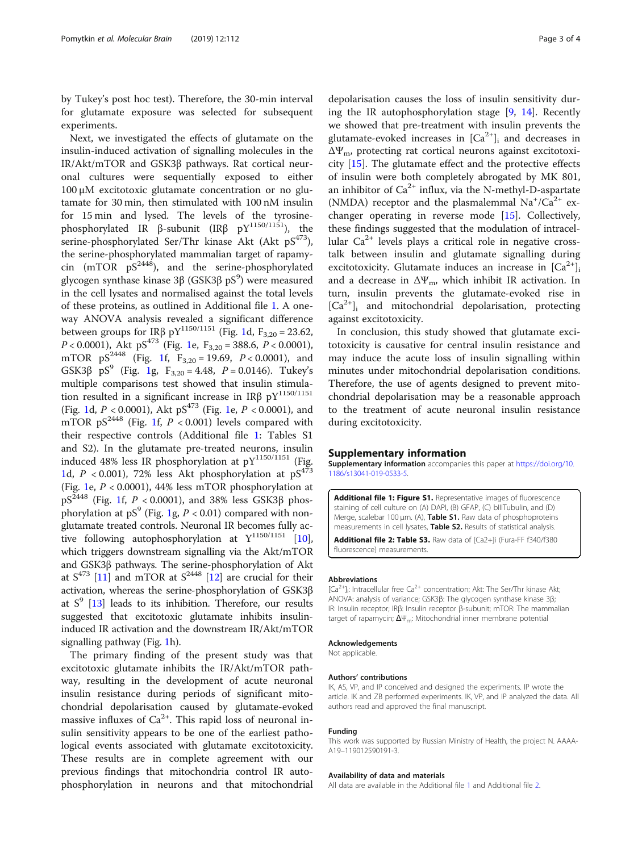<span id="page-2-0"></span>by Tukey's post hoc test). Therefore, the 30-min interval for glutamate exposure was selected for subsequent experiments.

Next, we investigated the effects of glutamate on the insulin-induced activation of signalling molecules in the IR/Akt/mTOR and GSK3β pathways. Rat cortical neuronal cultures were sequentially exposed to either 100 μM excitotoxic glutamate concentration or no glutamate for 30 min, then stimulated with 100 nM insulin for 15 min and lysed. The levels of the tyrosinephosphorylated IR β-subunit (IRβ  $pY^{1150/1151}$ ), the serine-phosphorylated Ser/Thr kinase Akt (Akt  $pS^{473}$ ), the serine-phosphorylated mammalian target of rapamycin (mTOR  $pS^{2448}$ ), and the serine-phosphorylated glycogen synthase kinase 3β (GSK3β pS $^9$ ) were measured in the cell lysates and normalised against the total levels of these proteins, as outlined in Additional file 1. A oneway ANOVA analysis revealed a significant difference between groups for IRβ pY<sup>1150/1151</sup> (Fig. [1d](#page-1-0), F<sub>3,20</sub> = 23.62,  $P < 0.0001$  $P < 0.0001$ ), Akt pS<sup>473</sup> (Fig. 1e, F<sub>3,20</sub> = 388.6,  $P < 0.0001$ ), mTOR  $pS^{2448}$  (Fig. [1f](#page-1-0),  $F_{3,20} = 19.69$ ,  $P < 0.0001$ ), and GSK3 $\beta$  pS<sup>9</sup> (Fig. [1](#page-1-0)g, F<sub>3,20</sub> = 4.48, P = 0.0146). Tukey's multiple comparisons test showed that insulin stimulation resulted in a significant increase in IR $\beta$  pY<sup>1150/1151</sup> (Fig. [1d](#page-1-0),  $P < 0.0001$  $P < 0.0001$ ), Akt pS<sup>473</sup> (Fig. 1e,  $P < 0.0001$ ), and mTOR  $pS^{2448}$  (Fig. [1f](#page-1-0),  $P < 0.001$ ) levels compared with their respective controls (Additional file 1: Tables S1 and S2). In the glutamate pre-treated neurons, insulin induced 48% less IR phosphorylation at  $pY^{1150/1151}$  (Fig. [1d](#page-1-0),  $P < 0.001$ ), 72% less Akt phosphorylation at  $pS<sup>473</sup>$ (Fig. [1e](#page-1-0),  $P < 0.0001$ ), 44% less mTOR phosphorylation at  $pS^{2448}$  (Fig. [1f](#page-1-0), P < 0.0001), and 38% less GSK3 $\beta$  phos-phorylation at pS<sup>9</sup> (Fig. [1g](#page-1-0),  $P < 0.01$ ) compared with nonglutamate treated controls. Neuronal IR becomes fully active following autophosphorylation at  $Y^{1150/1151}$  [[10](#page-3-0)], which triggers downstream signalling via the Akt/mTOR and GSK3β pathways. The serine-phosphorylation of Akt at  $S^{473}$  [\[11\]](#page-3-0) and mTOR at  $S^{2448}$  [\[12\]](#page-3-0) are crucial for their activation, whereas the serine-phosphorylation of GSK3β at  $S^9$  [\[13\]](#page-3-0) leads to its inhibition. Therefore, our results suggested that excitotoxic glutamate inhibits insulininduced IR activation and the downstream IR/Akt/mTOR signalling pathway (Fig. [1h](#page-1-0)).

The primary finding of the present study was that excitotoxic glutamate inhibits the IR/Akt/mTOR pathway, resulting in the development of acute neuronal insulin resistance during periods of significant mitochondrial depolarisation caused by glutamate-evoked massive influxes of  $Ca^{2+}$ . This rapid loss of neuronal insulin sensitivity appears to be one of the earliest pathological events associated with glutamate excitotoxicity. These results are in complete agreement with our previous findings that mitochondria control IR autophosphorylation in neurons and that mitochondrial

depolarisation causes the loss of insulin sensitivity during the IR autophosphorylation stage  $[9, 14]$  $[9, 14]$  $[9, 14]$  $[9, 14]$ . Recently we showed that pre-treatment with insulin prevents the glutamate-evoked increases in  $[Ca^{2+}]$ <sub>i</sub> and decreases in  $\Delta \Psi_{\rm m}$ , protecting rat cortical neurons against excitotoxicity [[15\]](#page-3-0). The glutamate effect and the protective effects of insulin were both completely abrogated by MK 801, an inhibitor of  $Ca^{2+}$  influx, via the N-methyl-D-aspartate (NMDA) receptor and the plasmalemmal  $Na^+/Ca^{2+}$  exchanger operating in reverse mode [\[15\]](#page-3-0). Collectively, these findings suggested that the modulation of intracellular  $Ca^{2+}$  levels plays a critical role in negative crosstalk between insulin and glutamate signalling during excitotoxicity. Glutamate induces an increase in  $[Ca^{2+}]_i$ and a decrease in  $\Delta \Psi_{\rm m}$ , which inhibit IR activation. In turn, insulin prevents the glutamate-evoked rise in  $[Ca^{2+}]$ <sub>i</sub> and mitochondrial depolarisation, protecting against excitotoxicity.

In conclusion, this study showed that glutamate excitotoxicity is causative for central insulin resistance and may induce the acute loss of insulin signalling within minutes under mitochondrial depolarisation conditions. Therefore, the use of agents designed to prevent mitochondrial depolarisation may be a reasonable approach to the treatment of acute neuronal insulin resistance during excitotoxicity.

#### Supplementary information

Supplementary information accompanies this paper at [https://doi.org/10.](https://doi.org/10.1186/s13041-019-0533-5) [1186/s13041-019-0533-5.](https://doi.org/10.1186/s13041-019-0533-5)

Additional file 1: Figure S1. Representative images of fluorescence staining of cell culture on (A) DAPI, (B) GFAP, (C) bIIITubulin, and (D) Merge, scalebar 100 μm. (A), Table S1. Raw data of phosphoproteins measurements in cell lysates, Table S2. Results of statistical analysis.

Additional file 2: Table S3. Raw data of [Ca2+]i (Fura-FF f340/f380 fluorescence) measurements.

#### Abbreviations

 $[Ca^{2+}]_i$ : Intracellular free Ca<sup>2+</sup> concentration; Akt: The Ser/Thr kinase Akt ANOVA: analysis of variance; GSK3β: The glycogen synthase kinase 3β; IR: Insulin receptor; IRβ: Insulin receptor β-subunit; mTOR: The mammalian target of rapamycin;  $\Delta \Psi_m$ : Mitochondrial inner membrane potential

#### Acknowledgements

Not applicable.

#### Authors' contributions

IK, AS, VP, and IP conceived and designed the experiments. IP wrote the article. IK and ZB performed experiments. IK, VP, and IP analyzed the data. All authors read and approved the final manuscript.

#### Funding

This work was supported by Russian Ministry of Health, the project N. АААА-А19–119012590191-3.

#### Availability of data and materials

All data are available in the Additional file 1 and Additional file 2.